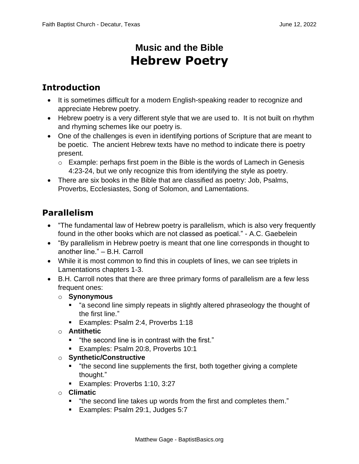## **Music and the Bible Hebrew Poetry**

## **Introduction**

- It is sometimes difficult for a modern English-speaking reader to recognize and appreciate Hebrew poetry.
- Hebrew poetry is a very different style that we are used to. It is not built on rhythm and rhyming schemes like our poetry is.
- One of the challenges is even in identifying portions of Scripture that are meant to be poetic. The ancient Hebrew texts have no method to indicate there is poetry present.
	- $\circ$  Example: perhaps first poem in the Bible is the words of Lamech in Genesis 4:23-24, but we only recognize this from identifying the style as poetry.
- There are six books in the Bible that are classified as poetry: Job, Psalms, Proverbs, Ecclesiastes, Song of Solomon, and Lamentations.

## **Parallelism**

- "The fundamental law of Hebrew poetry is parallelism, which is also very frequently found in the other books which are not classed as poetical." - A.C. Gaebelein
- "By parallelism in Hebrew poetry is meant that one line corresponds in thought to another line." – B.H. Carroll
- While it is most common to find this in couplets of lines, we can see triplets in Lamentations chapters 1-3.
- B.H. Carroll notes that there are three primary forms of parallelism are a few less frequent ones:
	- o **Synonymous**
		- "a second line simply repeats in slightly altered phraseology the thought of the first line."
		- Examples: Psalm 2:4, Proverbs 1:18
	- o **Antithetic**
		- "the second line is in contrast with the first."
		- **Examples: Psalm 20:8, Proverbs 10:1**
	- o **Synthetic/Constructive**
		- "the second line supplements the first, both together giving a complete thought."
		- **Examples: Proverbs 1:10, 3:27**
	- o **Climatic**
		- "the second line takes up words from the first and completes them."
		- **Examples: Psalm 29:1, Judges 5:7**